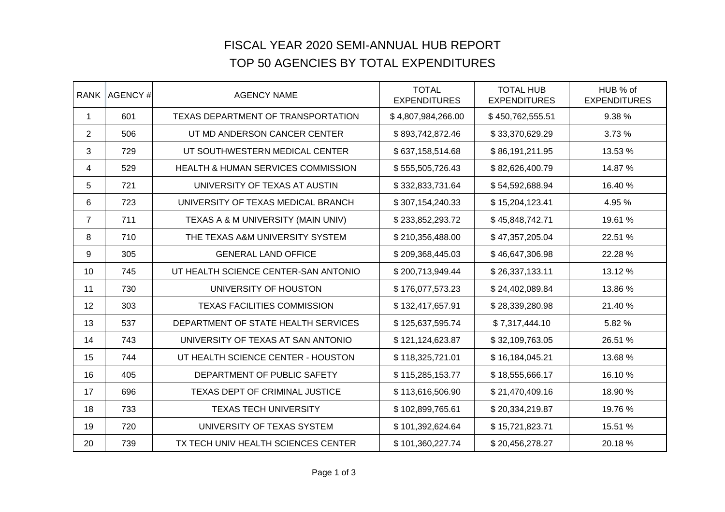## FISCAL YEAR 2020 SEMI-ANNUAL HUB REPORTTOP 50 AGENCIES BY TOTAL EXPENDITURES

| <b>RANK</b>    | AGENCY# | <b>AGENCY NAME</b>                            | <b>TOTAL</b><br><b>EXPENDITURES</b> | <b>TOTAL HUB</b><br><b>EXPENDITURES</b> | HUB % of<br><b>EXPENDITURES</b> |
|----------------|---------|-----------------------------------------------|-------------------------------------|-----------------------------------------|---------------------------------|
| $\mathbf{1}$   | 601     | TEXAS DEPARTMENT OF TRANSPORTATION            | \$4,807,984,266.00                  | \$450,762,555.51                        | 9.38 %                          |
| $\overline{2}$ | 506     | UT MD ANDERSON CANCER CENTER                  | \$893,742,872.46                    | \$33,370,629.29                         | 3.73 %                          |
| 3              | 729     | UT SOUTHWESTERN MEDICAL CENTER                | \$637,158,514.68                    | \$86,191,211.95                         | 13.53 %                         |
| 4              | 529     | <b>HEALTH &amp; HUMAN SERVICES COMMISSION</b> | \$555,505,726.43                    | \$82,626,400.79                         | 14.87 %                         |
| 5              | 721     | UNIVERSITY OF TEXAS AT AUSTIN                 | \$332,833,731.64                    | \$54,592,688.94                         | 16.40 %                         |
| 6              | 723     | UNIVERSITY OF TEXAS MEDICAL BRANCH            | \$307,154,240.33                    | \$15,204,123.41                         | 4.95 %                          |
| $\overline{7}$ | 711     | TEXAS A & M UNIVERSITY (MAIN UNIV)            | \$233,852,293.72                    | \$45,848,742.71                         | 19.61 %                         |
| 8              | 710     | THE TEXAS A&M UNIVERSITY SYSTEM               | \$210,356,488.00                    | \$47,357,205.04                         | 22.51 %                         |
| 9              | 305     | <b>GENERAL LAND OFFICE</b>                    | \$209,368,445.03                    | \$46,647,306.98                         | 22.28 %                         |
| 10             | 745     | UT HEALTH SCIENCE CENTER-SAN ANTONIO          | \$200,713,949.44                    | \$26,337,133.11                         | 13.12 %                         |
| 11             | 730     | UNIVERSITY OF HOUSTON                         | \$176,077,573.23                    | \$24,402,089.84                         | 13.86 %                         |
| 12             | 303     | <b>TEXAS FACILITIES COMMISSION</b>            | \$132,417,657.91                    | \$28,339,280.98                         | 21.40 %                         |
| 13             | 537     | DEPARTMENT OF STATE HEALTH SERVICES           | \$125,637,595.74                    | \$7,317,444.10                          | 5.82%                           |
| 14             | 743     | UNIVERSITY OF TEXAS AT SAN ANTONIO            | \$121,124,623.87                    | \$32,109,763.05                         | 26.51 %                         |
| 15             | 744     | UT HEALTH SCIENCE CENTER - HOUSTON            | \$118,325,721.01                    | \$16,184,045.21                         | 13.68 %                         |
| 16             | 405     | DEPARTMENT OF PUBLIC SAFETY                   | \$115,285,153.77                    | \$18,555,666.17                         | 16.10 %                         |
| 17             | 696     | TEXAS DEPT OF CRIMINAL JUSTICE                | \$113,616,506.90                    | \$21,470,409.16                         | 18.90 %                         |
| 18             | 733     | <b>TEXAS TECH UNIVERSITY</b>                  | \$102,899,765.61                    | \$20,334,219.87                         | 19.76 %                         |
| 19             | 720     | UNIVERSITY OF TEXAS SYSTEM                    | \$101,392,624.64                    | \$15,721,823.71                         | 15.51 %                         |
| 20             | 739     | TX TECH UNIV HEALTH SCIENCES CENTER           | \$101,360,227.74                    | \$20,456,278.27                         | 20.18%                          |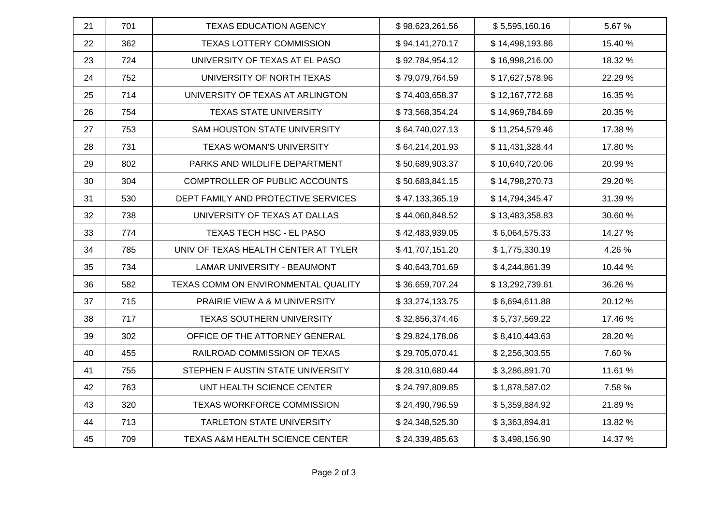| 21 | 701 | <b>TEXAS EDUCATION AGENCY</b>        | \$98,623,261.56 | \$5,595,160.16  | 5.67%   |
|----|-----|--------------------------------------|-----------------|-----------------|---------|
| 22 | 362 | TEXAS LOTTERY COMMISSION             | \$94,141,270.17 | \$14,498,193.86 | 15.40 % |
| 23 | 724 | UNIVERSITY OF TEXAS AT EL PASO       | \$92,784,954.12 | \$16,998,216.00 | 18.32 % |
| 24 | 752 | UNIVERSITY OF NORTH TEXAS            | \$79,079,764.59 | \$17,627,578.96 | 22.29 % |
| 25 | 714 | UNIVERSITY OF TEXAS AT ARLINGTON     | \$74,403,658.37 | \$12,167,772.68 | 16.35 % |
| 26 | 754 | <b>TEXAS STATE UNIVERSITY</b>        | \$73,568,354.24 | \$14,969,784.69 | 20.35 % |
| 27 | 753 | SAM HOUSTON STATE UNIVERSITY         | \$64,740,027.13 | \$11,254,579.46 | 17.38 % |
| 28 | 731 | <b>TEXAS WOMAN'S UNIVERSITY</b>      | \$64,214,201.93 | \$11,431,328.44 | 17.80 % |
| 29 | 802 | PARKS AND WILDLIFE DEPARTMENT        | \$50,689,903.37 | \$10,640,720.06 | 20.99 % |
| 30 | 304 | COMPTROLLER OF PUBLIC ACCOUNTS       | \$50,683,841.15 | \$14,798,270.73 | 29.20 % |
| 31 | 530 | DEPT FAMILY AND PROTECTIVE SERVICES  | \$47,133,365.19 | \$14,794,345.47 | 31.39 % |
| 32 | 738 | UNIVERSITY OF TEXAS AT DALLAS        | \$44,060,848.52 | \$13,483,358.83 | 30.60 % |
| 33 | 774 | TEXAS TECH HSC - EL PASO             | \$42,483,939.05 | \$6,064,575.33  | 14.27 % |
| 34 | 785 | UNIV OF TEXAS HEALTH CENTER AT TYLER | \$41,707,151.20 | \$1,775,330.19  | 4.26 %  |
| 35 | 734 | <b>LAMAR UNIVERSITY - BEAUMONT</b>   | \$40,643,701.69 | \$4,244,861.39  | 10.44 % |
| 36 | 582 | TEXAS COMM ON ENVIRONMENTAL QUALITY  | \$36,659,707.24 | \$13,292,739.61 | 36.26 % |
| 37 | 715 | PRAIRIE VIEW A & M UNIVERSITY        | \$33,274,133.75 | \$6,694,611.88  | 20.12%  |
| 38 | 717 | <b>TEXAS SOUTHERN UNIVERSITY</b>     | \$32,856,374.46 | \$5,737,569.22  | 17.46 % |
| 39 | 302 | OFFICE OF THE ATTORNEY GENERAL       | \$29,824,178.06 | \$8,410,443.63  | 28.20%  |
| 40 | 455 | RAILROAD COMMISSION OF TEXAS         | \$29,705,070.41 | \$2,256,303.55  | 7.60%   |
| 41 | 755 | STEPHEN F AUSTIN STATE UNIVERSITY    | \$28,310,680.44 | \$3,286,891.70  | 11.61 % |
| 42 | 763 | UNT HEALTH SCIENCE CENTER            | \$24,797,809.85 | \$1,878,587.02  | 7.58 %  |
| 43 | 320 | TEXAS WORKFORCE COMMISSION           | \$24,490,796.59 | \$5,359,884.92  | 21.89%  |
| 44 | 713 | <b>TARLETON STATE UNIVERSITY</b>     | \$24,348,525.30 | \$3,363,894.81  | 13.82 % |
| 45 | 709 | TEXAS A&M HEALTH SCIENCE CENTER      | \$24,339,485.63 | \$3,498,156.90  | 14.37 % |
|    |     |                                      |                 |                 |         |